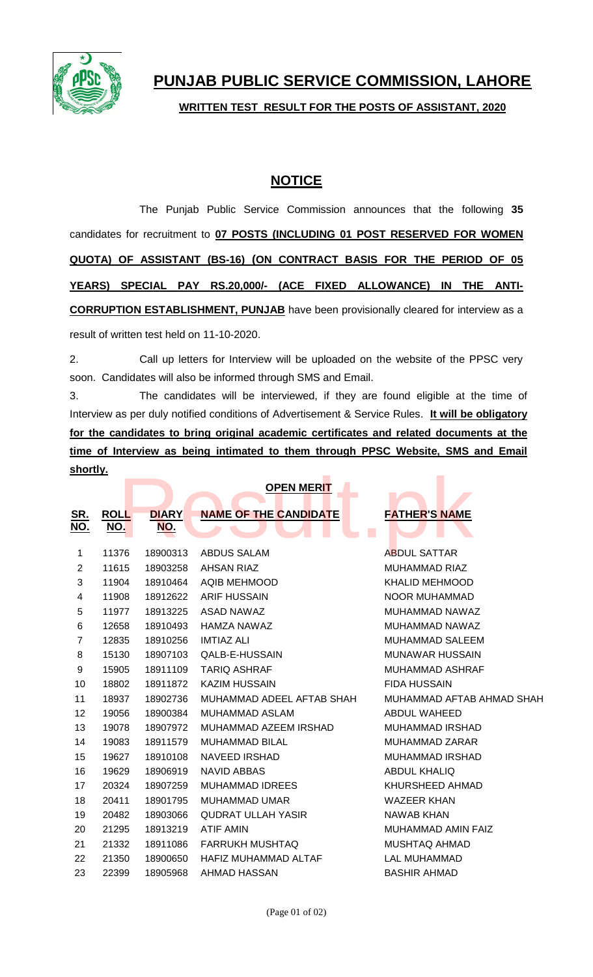

**WRITTEN TEST RESULT FOR THE POSTS OF ASSISTANT, 2020**

## **NOTICE**

The Punjab Public Service Commission announces that the following **35** candidates for recruitment to **07 POSTS (INCLUDING 01 POST RESERVED FOR WOMEN QUOTA) OF ASSISTANT (BS-16) (ON CONTRACT BASIS FOR THE PERIOD OF 05 YEARS) SPECIAL PAY RS.20,000/- (ACE FIXED ALLOWANCE) IN THE ANTI-CORRUPTION ESTABLISHMENT, PUNJAB** have been provisionally cleared for interview as a result of written test held on 11-10-2020.

2. Call up letters for Interview will be uploaded on the website of the PPSC very soon. Candidates will also be informed through SMS and Email.

3. The candidates will be interviewed, if they are found eligible at the time of Interview as per duly notified conditions of Advertisement & Service Rules. **It will be obligatory for the candidates to bring original academic certificates and related documents at the time of Interview as being intimated to them through PPSC Website, SMS and Email shortly.**

| <u>snoruy.</u>           |                           |                            |                              |                                                     |
|--------------------------|---------------------------|----------------------------|------------------------------|-----------------------------------------------------|
|                          |                           |                            | <b>OPEN MERIT</b>            |                                                     |
| <u>SR.</u><br><u>NO.</u> | <b>ROLL</b><br><u>NO.</u> | <b>DIARY</b><br><u>NO.</u> | <b>NAME OF THE CANDIDATE</b> | <b>FATHER'S NAME</b><br>$\mathcal{L}_{\mathcal{A}}$ |
| 1                        | 11376                     | 18900313                   | <b>ABDUS SALAM</b>           | <b>ABDUL SATTAR</b>                                 |
| $\mathbf{2}$             | 11615                     | 18903258                   | <b>AHSAN RIAZ</b>            | <b>MUHAMMAD RIAZ</b>                                |
| 3                        | 11904                     | 18910464                   | <b>AQIB MEHMOOD</b>          | <b>KHALID MEHMOOD</b>                               |
| 4                        | 11908                     | 18912622                   | <b>ARIF HUSSAIN</b>          | <b>NOOR MUHAMMAD</b>                                |
| 5                        | 11977                     | 18913225                   | ASAD NAWAZ                   | MUHAMMAD NAWAZ                                      |
| 6                        | 12658                     | 18910493                   | <b>HAMZA NAWAZ</b>           | MUHAMMAD NAWAZ                                      |
| $\overline{7}$           | 12835                     | 18910256                   | <b>IMTIAZ ALI</b>            | <b>MUHAMMAD SALEEM</b>                              |
| 8                        | 15130                     | 18907103                   | QALB-E-HUSSAIN               | <b>MUNAWAR HUSSAIN</b>                              |
| 9                        | 15905                     | 18911109                   | <b>TARIQ ASHRAF</b>          | <b>MUHAMMAD ASHRAF</b>                              |
| 10                       | 18802                     | 18911872                   | <b>KAZIM HUSSAIN</b>         | <b>FIDA HUSSAIN</b>                                 |
| 11                       | 18937                     | 18902736                   | MUHAMMAD ADEEL AFTAB SHAH    | MUHAMMAD AFTAB AHMAD SHAH                           |
| 12                       | 19056                     | 18900384                   | <b>MUHAMMAD ASLAM</b>        | ABDUL WAHEED                                        |
| 13                       | 19078                     | 18907972                   | MUHAMMAD AZEEM IRSHAD        | <b>MUHAMMAD IRSHAD</b>                              |
| 14                       | 19083                     | 18911579                   | <b>MUHAMMAD BILAL</b>        | MUHAMMAD ZARAR                                      |
| 15                       | 19627                     | 18910108                   | <b>NAVEED IRSHAD</b>         | <b>MUHAMMAD IRSHAD</b>                              |
| 16                       | 19629                     | 18906919                   | <b>NAVID ABBAS</b>           | <b>ABDUL KHALIQ</b>                                 |
| 17                       | 20324                     | 18907259                   | <b>MUHAMMAD IDREES</b>       | KHURSHEED AHMAD                                     |
| 18                       | 20411                     | 18901795                   | <b>MUHAMMAD UMAR</b>         | <b>WAZEER KHAN</b>                                  |
| 19                       | 20482                     | 18903066                   | <b>QUDRAT ULLAH YASIR</b>    | <b>NAWAB KHAN</b>                                   |
| 20                       | 21295                     | 18913219                   | <b>ATIF AMIN</b>             | MUHAMMAD AMIN FAIZ                                  |
| 21                       | 21332                     | 18911086                   | <b>FARRUKH MUSHTAQ</b>       | <b>MUSHTAQ AHMAD</b>                                |
| 22                       | 21350                     | 18900650                   | HAFIZ MUHAMMAD ALTAF         | <b>LAL MUHAMMAD</b>                                 |
| 23                       | 22399                     | 18905968                   | AHMAD HASSAN                 | <b>BASHIR AHMAD</b>                                 |
|                          |                           |                            |                              |                                                     |